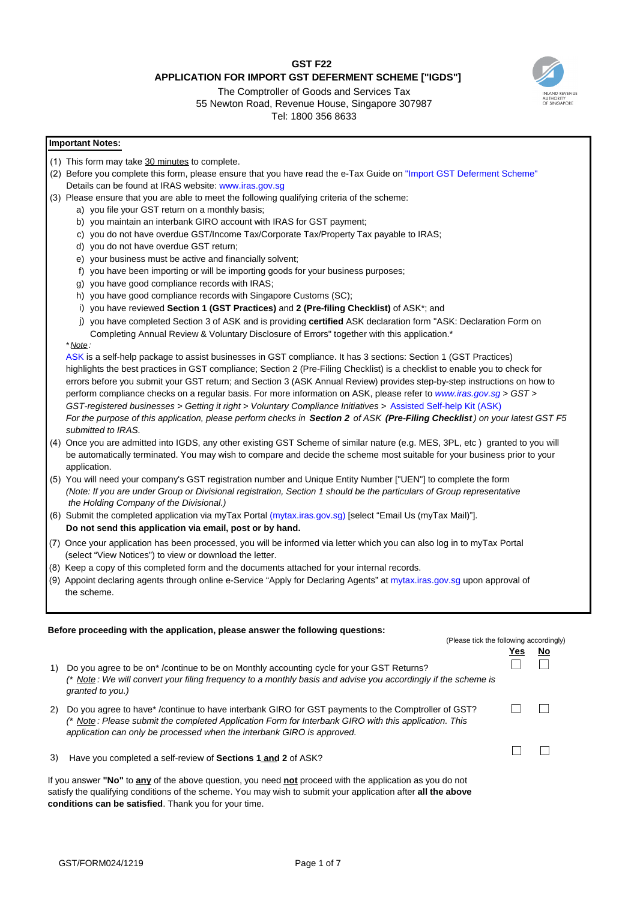# **GST F22 APPLICATION FOR IMPORT GST DEFERMENT SCHEME ["IGDS"]**

# The Comptroller of Goods and Services Tax 55 Newton Road, Revenue House, Singapore 307987

Tel: 1800 356 8633

### **Important Notes:**

- (1) This form may take 30 minutes to complete.
- (2) Before you complete this form, please ensure that you have read the e-Tax Guide on ["Import GST Deferment Scheme"](https://www.iras.gov.sg/irashome/uploadedFiles/IRASHome/e-Tax_Guides/etaxguide_GST_Import%20GST%20Deferment%20Scheme.pdf) Details can be found at IRAS website: [www.iras.gov.sg](http://www.iras.gov.sg/)
- (3) Please ensure that you are able to meet the following qualifying criteria of the scheme:
	- a) you file your GST return on a monthly basis;
	- b) you maintain an interbank GIRO account with IRAS for GST payment;
	- c) you do not have overdue GST/Income Tax/Corporate Tax/Property Tax payable to IRAS;
	- d) you do not have overdue GST return;
	- e) your business must be active and financially solvent;
	- f) you have been importing or will be importing goods for your business purposes;
	- g) you have good compliance records with IRAS;
	- h) you have good compliance records with Singapore Customs (SC);
	- i) you have reviewed **Section 1 (GST Practices)** and **2 (Pre-filing Checklist)** of ASK\*; and
	- j) you have completed Section 3 of ASK and is providing **certified** ASK declaration form "ASK: Declaration Form on Completing Annual Review & Voluntary Disclosure of Errors" together with this application.\*

#### *\* Note :*

[ASK](https://www.iras.gov.sg/irashome/uploadedFiles/IRASHome/e-Tax_Guides/GST_ASK%20Annual%20Review%20Guide.pdf) is a self-help package to assist businesses in GST compliance. It has 3 sections: Section 1 (GST Practices) highlights the best practices in GST compliance; Section 2 (Pre-Filing Checklist) is a checklist to enable you to check for errors before you submit your GST return; and Section 3 (ASK Annual Review) provides step-by-step instructions on how to perform compliance checks on a regular basis. For more information on ASK, please refer to *[www.iras.gov.sg](http://www.iras.gov.sg/) > GST > GST-registered businesses > Getting it right > Voluntary Compliance Initiatives >* [Assisted Self-help Kit \(ASK\)](https://www.iras.gov.sg/irashome/GST/GST-registered-businesses/Getting-it-right/Voluntary-Compliance-Initiatives/Assisted-Self-help-Kit--ASK-/) For the purpose of this application, please perform checks in Section 2 of ASK (Pre-Filing Checklist) on your latest GST F5 *submitted to IRAS.*

- (4) Once you are admitted into IGDS, any other existing GST Scheme of similar nature (e.g. MES, 3PL, etc ) granted to you will be automatically terminated. You may wish to compare and decide the scheme most suitable for your business prior to your application.
- (5) You will need your company's GST registration number and Unique Entity Number ["UEN"] to complete the form (Note: If you are under Group or Divisional registration, Section 1 should be the particulars of Group representative *the Holding Company of the Divisional.)*
- (6) Submit the completed application via myTax Portal (mytax.iras.gov.sg) [select "Email Us (myTax Mail)"]. **Do not send this application via email, post or by [hand.](https://mytax.iras.gov.sg/)**
- (7) Once your application has been processed, you will be informed via letter which you can also log in to myTax Portal (select "View Notices") to view or download the letter.
- (8) Keep a copy of this completed form and the documents attached for your internal records.
- (9) Appoint declaring agents through online e-Service "Apply for Declaring Agents" at mytax.iras.gov.sg upon approval of the scheme.

#### **Before proceeding with the application, please answer the following questions:**

|                                                                                                          |                                                                                                                                                                                                                                                                                      | (Please tick the following accordingly) |    |  |  |
|----------------------------------------------------------------------------------------------------------|--------------------------------------------------------------------------------------------------------------------------------------------------------------------------------------------------------------------------------------------------------------------------------------|-----------------------------------------|----|--|--|
| 1)                                                                                                       | Do you agree to be on* /continue to be on Monthly accounting cycle for your GST Returns?<br>(* Note : We will convert your filing frequency to a monthly basis and advise you accordingly if the scheme is<br>granted to you.)                                                       | Yes.                                    | No |  |  |
| 2)                                                                                                       | Do you agree to have*/continue to have interbank GIRO for GST payments to the Comptroller of GST?<br>(* Note : Please submit the completed Application Form for Interbank GIRO with this application. This<br>application can only be processed when the interbank GIRO is approved. |                                         |    |  |  |
| 3)                                                                                                       | Have you completed a self-review of Sections 1 and 2 of ASK?                                                                                                                                                                                                                         |                                         |    |  |  |
| If you answer "No" to any of the above question, you need not proceed with the application as you do not |                                                                                                                                                                                                                                                                                      |                                         |    |  |  |

satisfy the qualifying conditions of the scheme. You may wish to submit your application after **all the above conditions can be satisfied**. Thank you for your time.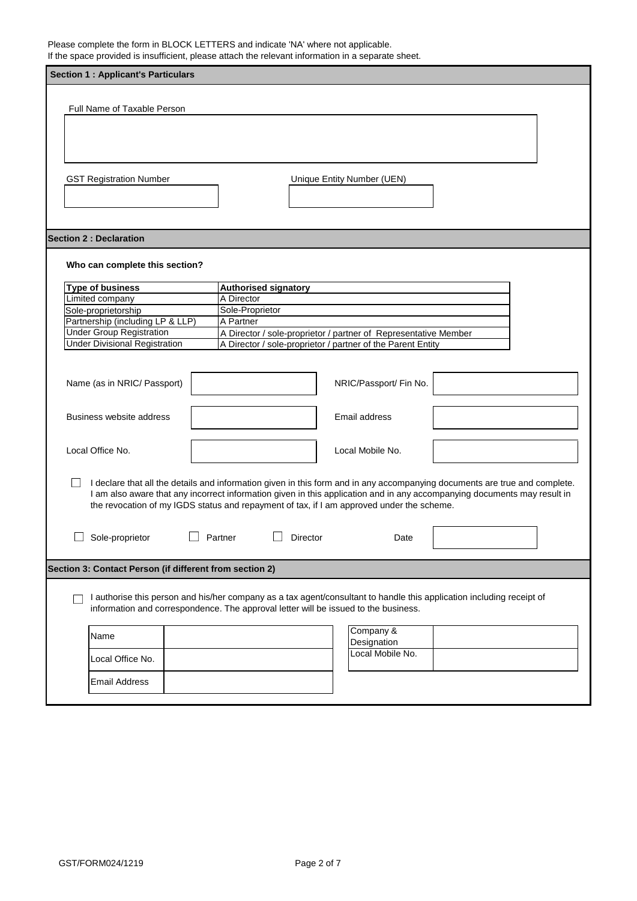Please complete the form in BLOCK LETTERS and indicate 'NA' where not applicable. If the space provided is insufficient, please attach the relevant information in a separate sheet.

| ii are opace provided to integritority productation are relevant information in a coparate on<br><b>Section 1: Applicant's Particulars</b> |                                                |                                                                                                                                |                                                                                                                                                                                                                                                        |  |  |
|--------------------------------------------------------------------------------------------------------------------------------------------|------------------------------------------------|--------------------------------------------------------------------------------------------------------------------------------|--------------------------------------------------------------------------------------------------------------------------------------------------------------------------------------------------------------------------------------------------------|--|--|
|                                                                                                                                            |                                                |                                                                                                                                |                                                                                                                                                                                                                                                        |  |  |
| Full Name of Taxable Person                                                                                                                |                                                |                                                                                                                                |                                                                                                                                                                                                                                                        |  |  |
|                                                                                                                                            |                                                |                                                                                                                                |                                                                                                                                                                                                                                                        |  |  |
|                                                                                                                                            |                                                |                                                                                                                                |                                                                                                                                                                                                                                                        |  |  |
|                                                                                                                                            |                                                |                                                                                                                                |                                                                                                                                                                                                                                                        |  |  |
|                                                                                                                                            |                                                |                                                                                                                                |                                                                                                                                                                                                                                                        |  |  |
| <b>GST Registration Number</b>                                                                                                             |                                                | Unique Entity Number (UEN)                                                                                                     |                                                                                                                                                                                                                                                        |  |  |
|                                                                                                                                            |                                                |                                                                                                                                |                                                                                                                                                                                                                                                        |  |  |
|                                                                                                                                            |                                                |                                                                                                                                |                                                                                                                                                                                                                                                        |  |  |
|                                                                                                                                            |                                                |                                                                                                                                |                                                                                                                                                                                                                                                        |  |  |
| <b>Section 2: Declaration</b>                                                                                                              |                                                |                                                                                                                                |                                                                                                                                                                                                                                                        |  |  |
|                                                                                                                                            |                                                |                                                                                                                                |                                                                                                                                                                                                                                                        |  |  |
| Who can complete this section?                                                                                                             |                                                |                                                                                                                                |                                                                                                                                                                                                                                                        |  |  |
| <b>Type of business</b>                                                                                                                    | <b>Authorised signatory</b>                    |                                                                                                                                |                                                                                                                                                                                                                                                        |  |  |
| Limited company                                                                                                                            | A Director                                     |                                                                                                                                |                                                                                                                                                                                                                                                        |  |  |
| Sole-proprietorship                                                                                                                        | Sole-Proprietor                                |                                                                                                                                |                                                                                                                                                                                                                                                        |  |  |
| Partnership (including LP & LLP)<br><b>Under Group Registration</b>                                                                        | A Partner                                      |                                                                                                                                |                                                                                                                                                                                                                                                        |  |  |
| <b>Under Divisional Registration</b>                                                                                                       |                                                | A Director / sole-proprietor / partner of Representative Member<br>A Director / sole-proprietor / partner of the Parent Entity |                                                                                                                                                                                                                                                        |  |  |
|                                                                                                                                            |                                                |                                                                                                                                |                                                                                                                                                                                                                                                        |  |  |
|                                                                                                                                            |                                                |                                                                                                                                |                                                                                                                                                                                                                                                        |  |  |
| Name (as in NRIC/ Passport)                                                                                                                |                                                | NRIC/Passport/ Fin No.                                                                                                         |                                                                                                                                                                                                                                                        |  |  |
|                                                                                                                                            |                                                |                                                                                                                                |                                                                                                                                                                                                                                                        |  |  |
|                                                                                                                                            |                                                |                                                                                                                                |                                                                                                                                                                                                                                                        |  |  |
| Business website address                                                                                                                   |                                                | Email address                                                                                                                  |                                                                                                                                                                                                                                                        |  |  |
|                                                                                                                                            |                                                |                                                                                                                                |                                                                                                                                                                                                                                                        |  |  |
| Local Office No.<br>Local Mobile No.                                                                                                       |                                                |                                                                                                                                |                                                                                                                                                                                                                                                        |  |  |
|                                                                                                                                            |                                                |                                                                                                                                |                                                                                                                                                                                                                                                        |  |  |
|                                                                                                                                            |                                                |                                                                                                                                |                                                                                                                                                                                                                                                        |  |  |
|                                                                                                                                            |                                                |                                                                                                                                | I declare that all the details and information given in this form and in any accompanying documents are true and complete.<br>I am also aware that any incorrect information given in this application and in any accompanying documents may result in |  |  |
| the revocation of my IGDS status and repayment of tax, if I am approved under the scheme.                                                  |                                                |                                                                                                                                |                                                                                                                                                                                                                                                        |  |  |
|                                                                                                                                            |                                                |                                                                                                                                |                                                                                                                                                                                                                                                        |  |  |
|                                                                                                                                            |                                                |                                                                                                                                |                                                                                                                                                                                                                                                        |  |  |
|                                                                                                                                            | Sole-proprietor<br>Partner<br>Director<br>Date |                                                                                                                                |                                                                                                                                                                                                                                                        |  |  |
|                                                                                                                                            |                                                |                                                                                                                                |                                                                                                                                                                                                                                                        |  |  |
| Section 3: Contact Person (if different from section 2)                                                                                    |                                                |                                                                                                                                |                                                                                                                                                                                                                                                        |  |  |
|                                                                                                                                            |                                                |                                                                                                                                |                                                                                                                                                                                                                                                        |  |  |
| I authorise this person and his/her company as a tax agent/consultant to handle this application including receipt of                      |                                                |                                                                                                                                |                                                                                                                                                                                                                                                        |  |  |
| information and correspondence. The approval letter will be issued to the business.                                                        |                                                |                                                                                                                                |                                                                                                                                                                                                                                                        |  |  |
|                                                                                                                                            |                                                | Company &                                                                                                                      |                                                                                                                                                                                                                                                        |  |  |
| Name                                                                                                                                       |                                                | Designation                                                                                                                    |                                                                                                                                                                                                                                                        |  |  |
|                                                                                                                                            |                                                | Local Mobile No.                                                                                                               |                                                                                                                                                                                                                                                        |  |  |
| Local Office No.                                                                                                                           |                                                |                                                                                                                                |                                                                                                                                                                                                                                                        |  |  |
| <b>Email Address</b>                                                                                                                       |                                                |                                                                                                                                |                                                                                                                                                                                                                                                        |  |  |
|                                                                                                                                            |                                                |                                                                                                                                |                                                                                                                                                                                                                                                        |  |  |
|                                                                                                                                            |                                                |                                                                                                                                |                                                                                                                                                                                                                                                        |  |  |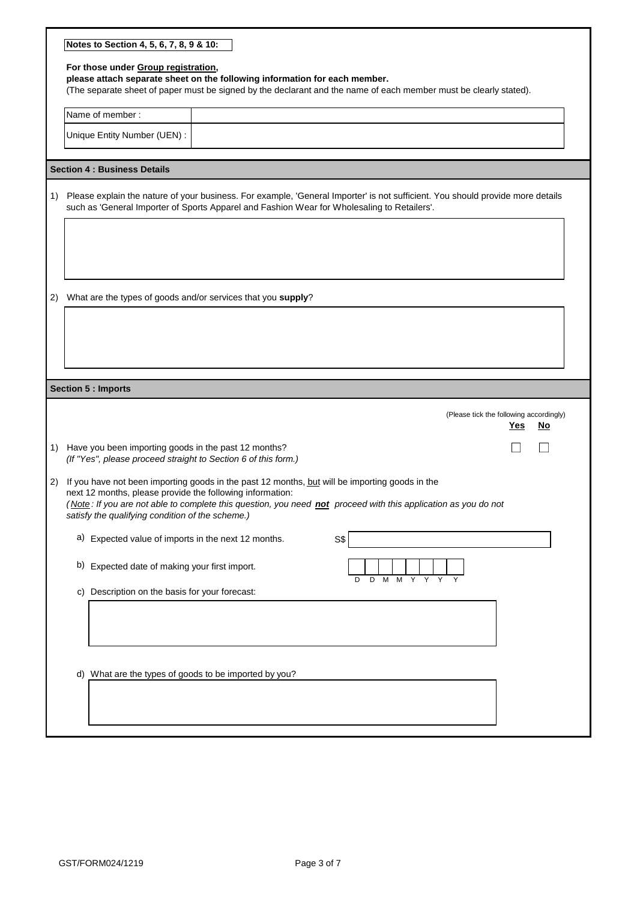|    | Notes to Section 4, 5, 6, 7, 8, 9 & 10:                                                                                                                                                                                                                                                                                           |  |  |  |  |
|----|-----------------------------------------------------------------------------------------------------------------------------------------------------------------------------------------------------------------------------------------------------------------------------------------------------------------------------------|--|--|--|--|
|    | For those under Group registration,<br>please attach separate sheet on the following information for each member.<br>(The separate sheet of paper must be signed by the declarant and the name of each member must be clearly stated).                                                                                            |  |  |  |  |
|    | Name of member:                                                                                                                                                                                                                                                                                                                   |  |  |  |  |
|    | Unique Entity Number (UEN) :                                                                                                                                                                                                                                                                                                      |  |  |  |  |
|    | <b>Section 4: Business Details</b>                                                                                                                                                                                                                                                                                                |  |  |  |  |
| 1) | Please explain the nature of your business. For example, 'General Importer' is not sufficient. You should provide more details<br>such as 'General Importer of Sports Apparel and Fashion Wear for Wholesaling to Retailers'.                                                                                                     |  |  |  |  |
|    |                                                                                                                                                                                                                                                                                                                                   |  |  |  |  |
| 2) | What are the types of goods and/or services that you supply?                                                                                                                                                                                                                                                                      |  |  |  |  |
|    |                                                                                                                                                                                                                                                                                                                                   |  |  |  |  |
|    | <b>Section 5 : Imports</b>                                                                                                                                                                                                                                                                                                        |  |  |  |  |
|    | (Please tick the following accordingly)<br><u>Yes</u><br><u>No</u>                                                                                                                                                                                                                                                                |  |  |  |  |
|    | 1) Have you been importing goods in the past 12 months?<br>(If "Yes", please proceed straight to Section 6 of this form.)                                                                                                                                                                                                         |  |  |  |  |
| 2) | If you have not been importing goods in the past 12 months, but will be importing goods in the<br>next 12 months, please provide the following information:<br>(Note: If you are not able to complete this question, you need not proceed with this application as you do not<br>satisfy the qualifying condition of the scheme.) |  |  |  |  |
|    | a) Expected value of imports in the next 12 months.<br>S\$                                                                                                                                                                                                                                                                        |  |  |  |  |
|    | b) Expected date of making your first import.<br>D<br>D<br>м<br>м<br>Y                                                                                                                                                                                                                                                            |  |  |  |  |
|    | c) Description on the basis for your forecast:                                                                                                                                                                                                                                                                                    |  |  |  |  |
|    |                                                                                                                                                                                                                                                                                                                                   |  |  |  |  |
|    | d) What are the types of goods to be imported by you?                                                                                                                                                                                                                                                                             |  |  |  |  |
|    |                                                                                                                                                                                                                                                                                                                                   |  |  |  |  |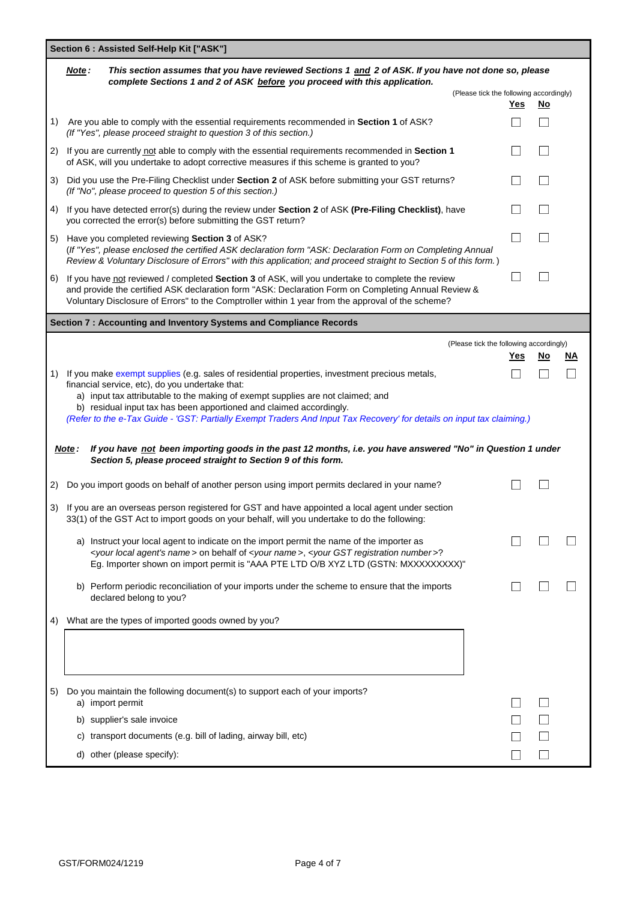|    | Section 6 : Assisted Self-Help Kit ["ASK"]                                                                                                                                                                                                                                                                         |                                                       |                          |                   |  |
|----|--------------------------------------------------------------------------------------------------------------------------------------------------------------------------------------------------------------------------------------------------------------------------------------------------------------------|-------------------------------------------------------|--------------------------|-------------------|--|
|    | This section assumes that you have reviewed Sections 1 and 2 of ASK. If you have not done so, please<br>Note:<br>complete Sections 1 and 2 of ASK before you proceed with this application.                                                                                                                        |                                                       |                          |                   |  |
|    |                                                                                                                                                                                                                                                                                                                    | (Please tick the following accordingly)<br><u>Yes</u> | <u>No</u>                |                   |  |
| 1) | Are you able to comply with the essential requirements recommended in Section 1 of ASK?<br>(If "Yes", please proceed straight to question 3 of this section.)                                                                                                                                                      |                                                       |                          |                   |  |
| 2) | If you are currently not able to comply with the essential requirements recommended in Section 1<br>of ASK, will you undertake to adopt corrective measures if this scheme is granted to you?                                                                                                                      |                                                       |                          |                   |  |
| 3) | Did you use the Pre-Filing Checklist under Section 2 of ASK before submitting your GST returns?<br>(If "No", please proceed to question 5 of this section.)                                                                                                                                                        |                                                       |                          |                   |  |
| 4) | If you have detected error(s) during the review under Section 2 of ASK (Pre-Filing Checklist), have<br>you corrected the error(s) before submitting the GST return?                                                                                                                                                |                                                       | $\overline{\phantom{a}}$ |                   |  |
|    | 5) Have you completed reviewing Section 3 of ASK?<br>(If "Yes", please enclosed the certified ASK declaration form "ASK: Declaration Form on Completing Annual<br>Review & Voluntary Disclosure of Errors" with this application; and proceed straight to Section 5 of this form.)                                 |                                                       |                          |                   |  |
| 6) | If you have not reviewed / completed Section 3 of ASK, will you undertake to complete the review<br>and provide the certified ASK declaration form "ASK: Declaration Form on Completing Annual Review &<br>Voluntary Disclosure of Errors" to the Comptroller within 1 year from the approval of the scheme?       |                                                       |                          |                   |  |
|    | Section 7 : Accounting and Inventory Systems and Compliance Records                                                                                                                                                                                                                                                |                                                       |                          |                   |  |
|    |                                                                                                                                                                                                                                                                                                                    | (Please tick the following accordingly)               |                          |                   |  |
|    |                                                                                                                                                                                                                                                                                                                    | <u>Yes</u>                                            | <u>No</u>                | <u>NA</u>         |  |
| 1) | If you make exempt supplies (e.g. sales of residential properties, investment precious metals,                                                                                                                                                                                                                     |                                                       |                          | $\vert \ \ \vert$ |  |
|    | financial service, etc), do you undertake that:<br>a) input tax attributable to the making of exempt supplies are not claimed; and                                                                                                                                                                                 |                                                       |                          |                   |  |
|    | b) residual input tax has been apportioned and claimed accordingly.<br>(Refer to the e-Tax Guide - 'GST: Partially Exempt Traders And Input Tax Recovery' for details on input tax claiming.)                                                                                                                      |                                                       |                          |                   |  |
|    | If you have not been importing goods in the past 12 months, i.e. you have answered "No" in Question 1 under<br>Note:<br>Section 5, please proceed straight to Section 9 of this form.                                                                                                                              |                                                       |                          |                   |  |
| 2) | Do you import goods on behalf of another person using import permits declared in your name?                                                                                                                                                                                                                        |                                                       |                          |                   |  |
| 3) | If you are an overseas person registered for GST and have appointed a local agent under section<br>33(1) of the GST Act to import goods on your behalf, will you undertake to do the following:                                                                                                                    |                                                       |                          |                   |  |
|    | a) Instruct your local agent to indicate on the import permit the name of the importer as<br><your agent's="" local="" name=""> on behalf of <your name="">, <your gst="" number="" registration="">?<br/>Eg. Importer shown on import permit is "AAA PTE LTD O/B XYZ LTD (GSTN: MXXXXXXXXX)"</your></your></your> |                                                       |                          |                   |  |
|    | b) Perform periodic reconciliation of your imports under the scheme to ensure that the imports<br>declared belong to you?                                                                                                                                                                                          |                                                       |                          |                   |  |
| 4) | What are the types of imported goods owned by you?                                                                                                                                                                                                                                                                 |                                                       |                          |                   |  |
|    |                                                                                                                                                                                                                                                                                                                    |                                                       |                          |                   |  |
|    |                                                                                                                                                                                                                                                                                                                    |                                                       |                          |                   |  |
| 5) | Do you maintain the following document(s) to support each of your imports?<br>a) import permit                                                                                                                                                                                                                     |                                                       |                          |                   |  |
|    | b) supplier's sale invoice                                                                                                                                                                                                                                                                                         |                                                       |                          |                   |  |
|    | transport documents (e.g. bill of lading, airway bill, etc)<br>C)                                                                                                                                                                                                                                                  |                                                       |                          |                   |  |
|    | d) other (please specify):                                                                                                                                                                                                                                                                                         |                                                       |                          |                   |  |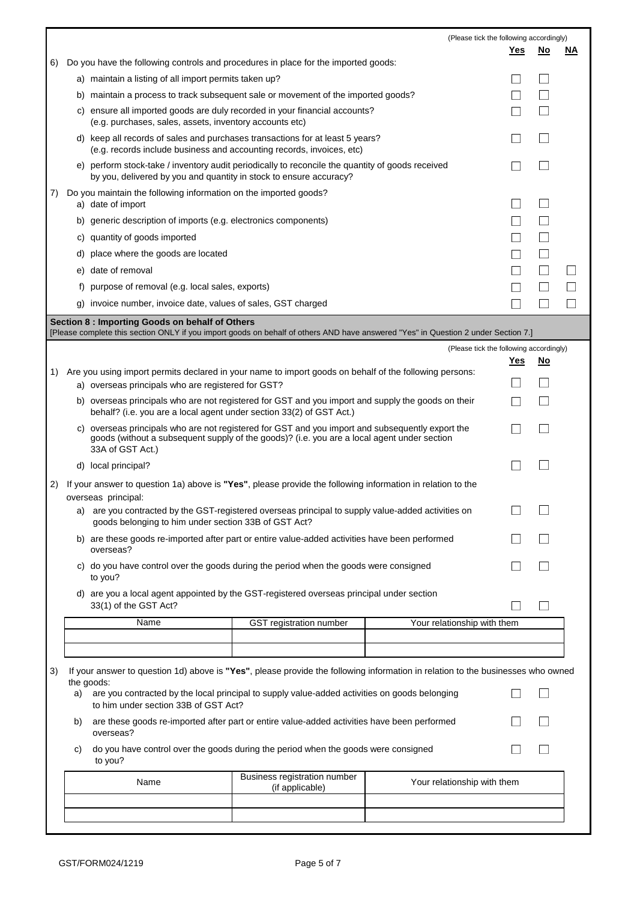|    |    |                                                                                                                                                                                                                     |                                                 | (Please tick the following accordingly) |                             |                          |                          |
|----|----|---------------------------------------------------------------------------------------------------------------------------------------------------------------------------------------------------------------------|-------------------------------------------------|-----------------------------------------|-----------------------------|--------------------------|--------------------------|
| 6) |    | Do you have the following controls and procedures in place for the imported goods:                                                                                                                                  |                                                 |                                         | Yes                         | No                       | ΝA                       |
|    |    | a) maintain a listing of all import permits taken up?                                                                                                                                                               |                                                 |                                         |                             | $\mathcal{L}$            |                          |
|    |    | b) maintain a process to track subsequent sale or movement of the imported goods?                                                                                                                                   |                                                 |                                         |                             | $\overline{\phantom{a}}$ |                          |
|    |    | c) ensure all imported goods are duly recorded in your financial accounts?                                                                                                                                          |                                                 |                                         |                             | $\overline{\phantom{a}}$ |                          |
|    |    | (e.g. purchases, sales, assets, inventory accounts etc)<br>d) keep all records of sales and purchases transactions for at least 5 years?                                                                            |                                                 |                                         |                             | $\overline{\phantom{a}}$ |                          |
|    |    | (e.g. records include business and accounting records, invoices, etc)<br>e) perform stock-take / inventory audit periodically to reconcile the quantity of goods received                                           |                                                 |                                         |                             | $\overline{\phantom{a}}$ |                          |
| 7) |    | by you, delivered by you and quantity in stock to ensure accuracy?<br>Do you maintain the following information on the imported goods?                                                                              |                                                 |                                         |                             |                          |                          |
|    |    | a) date of import                                                                                                                                                                                                   |                                                 |                                         |                             | $\Box$                   |                          |
|    |    | b) generic description of imports (e.g. electronics components)                                                                                                                                                     |                                                 |                                         |                             | $\Box$                   |                          |
|    |    | c) quantity of goods imported                                                                                                                                                                                       |                                                 |                                         | $\mathcal{L}_{\mathcal{A}}$ | $\Box$                   |                          |
|    | d) | place where the goods are located                                                                                                                                                                                   |                                                 |                                         | L.                          | $\Box$                   |                          |
|    |    | e) date of removal                                                                                                                                                                                                  |                                                 |                                         | $\Box$                      | $\Box$                   | $\overline{a}$           |
|    |    | f) purpose of removal (e.g. local sales, exports)                                                                                                                                                                   |                                                 |                                         |                             | $\Box$                   | $\Box$                   |
|    |    | g) invoice number, invoice date, values of sales, GST charged                                                                                                                                                       |                                                 |                                         |                             |                          | $\overline{\phantom{a}}$ |
|    |    | Section 8 : Importing Goods on behalf of Others<br>[Please complete this section ONLY if you import goods on behalf of others AND have answered "Yes" in Question 2 under Section 7.]                               |                                                 |                                         |                             |                          |                          |
|    |    |                                                                                                                                                                                                                     |                                                 | (Please tick the following accordingly) |                             |                          |                          |
|    |    |                                                                                                                                                                                                                     |                                                 |                                         | <u>Yes</u>                  | <u>No</u>                |                          |
| 1) |    | Are you using import permits declared in your name to import goods on behalf of the following persons:<br>a) overseas principals who are registered for GST?                                                        |                                                 |                                         |                             | $\Box$                   |                          |
|    |    | b) overseas principals who are not registered for GST and you import and supply the goods on their<br>behalf? (i.e. you are a local agent under section 33(2) of GST Act.)                                          |                                                 |                                         |                             | $\Box$                   |                          |
|    |    | c) overseas principals who are not registered for GST and you import and subsequently export the<br>goods (without a subsequent supply of the goods)? (i.e. you are a local agent under section<br>33A of GST Act.) |                                                 |                                         |                             | $\Box$                   |                          |
|    |    | d) local principal?                                                                                                                                                                                                 |                                                 |                                         |                             |                          |                          |
| 2) |    | If your answer to question 1a) above is "Yes", please provide the following information in relation to the<br>overseas principal:                                                                                   |                                                 |                                         |                             |                          |                          |
|    |    | a) are you contracted by the GST-registered overseas principal to supply value-added activities on<br>goods belonging to him under section 33B of GST Act?                                                          |                                                 |                                         |                             |                          |                          |
|    |    | b) are these goods re-imported after part or entire value-added activities have been performed<br>overseas?                                                                                                         |                                                 |                                         |                             |                          |                          |
|    |    | c) do you have control over the goods during the period when the goods were consigned<br>to you?                                                                                                                    |                                                 |                                         |                             |                          |                          |
|    |    | d) are you a local agent appointed by the GST-registered overseas principal under section<br>33(1) of the GST Act?                                                                                                  |                                                 |                                         |                             | $\overline{\phantom{a}}$ |                          |
|    |    | Name                                                                                                                                                                                                                | <b>GST</b> registration number                  | Your relationship with them             |                             |                          |                          |
|    |    |                                                                                                                                                                                                                     |                                                 |                                         |                             |                          |                          |
|    |    |                                                                                                                                                                                                                     |                                                 |                                         |                             |                          |                          |
| 3) |    | If your answer to question 1d) above is "Yes", please provide the following information in relation to the businesses who owned<br>the goods:                                                                       |                                                 |                                         |                             |                          |                          |
|    | a) | are you contracted by the local principal to supply value-added activities on goods belonging<br>to him under section 33B of GST Act?                                                                               |                                                 |                                         |                             | $\overline{a}$           |                          |
|    | b) | are these goods re-imported after part or entire value-added activities have been performed<br>overseas?                                                                                                            |                                                 |                                         |                             |                          |                          |
|    | C) | do you have control over the goods during the period when the goods were consigned<br>to you?                                                                                                                       |                                                 |                                         |                             |                          |                          |
|    |    | Name                                                                                                                                                                                                                | Business registration number<br>(if applicable) | Your relationship with them             |                             |                          |                          |
|    |    |                                                                                                                                                                                                                     |                                                 |                                         |                             |                          |                          |
|    |    |                                                                                                                                                                                                                     |                                                 |                                         |                             |                          |                          |

r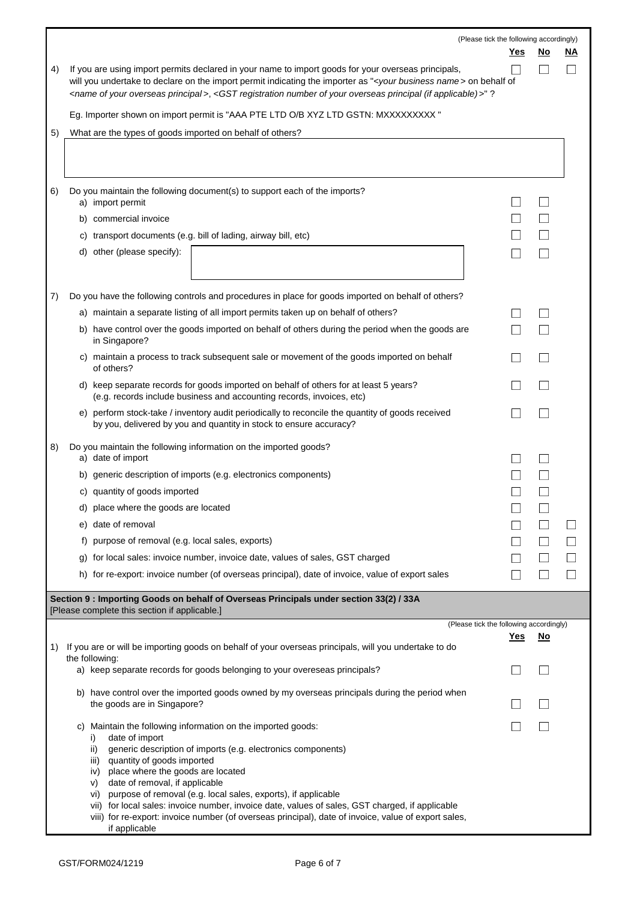|    | (Please tick the following accordingly)                                                                                                                                                                                                                                                                                                                                                              |            |                          |        |
|----|------------------------------------------------------------------------------------------------------------------------------------------------------------------------------------------------------------------------------------------------------------------------------------------------------------------------------------------------------------------------------------------------------|------------|--------------------------|--------|
|    |                                                                                                                                                                                                                                                                                                                                                                                                      | <u>Yes</u> | <u>No</u>                | ΝA     |
| 4) | If you are using import permits declared in your name to import goods for your overseas principals,<br>will you undertake to declare on the import permit indicating the importer as " <your business="" name=""> on behalf of<br/><name of="" overseas="" principal="" your="">, <gst (if="" applicable)="" number="" of="" overseas="" principal="" registration="" your="">"?</gst></name></your> | L.         |                          |        |
|    | Eg. Importer shown on import permit is "AAA PTE LTD O/B XYZ LTD GSTN: MXXXXXXXXX"                                                                                                                                                                                                                                                                                                                    |            |                          |        |
| 5) | What are the types of goods imported on behalf of others?                                                                                                                                                                                                                                                                                                                                            |            |                          |        |
|    |                                                                                                                                                                                                                                                                                                                                                                                                      |            |                          |        |
| 6) | Do you maintain the following document(s) to support each of the imports?<br>a) import permit                                                                                                                                                                                                                                                                                                        |            |                          |        |
|    | b) commercial invoice                                                                                                                                                                                                                                                                                                                                                                                |            |                          |        |
|    | c) transport documents (e.g. bill of lading, airway bill, etc)                                                                                                                                                                                                                                                                                                                                       |            |                          |        |
|    | d) other (please specify):                                                                                                                                                                                                                                                                                                                                                                           |            |                          |        |
| 7) | Do you have the following controls and procedures in place for goods imported on behalf of others?                                                                                                                                                                                                                                                                                                   |            |                          |        |
|    | a) maintain a separate listing of all import permits taken up on behalf of others?                                                                                                                                                                                                                                                                                                                   |            |                          |        |
|    | b) have control over the goods imported on behalf of others during the period when the goods are<br>in Singapore?                                                                                                                                                                                                                                                                                    |            |                          |        |
|    | c) maintain a process to track subsequent sale or movement of the goods imported on behalf<br>of others?                                                                                                                                                                                                                                                                                             |            |                          |        |
|    | d) keep separate records for goods imported on behalf of others for at least 5 years?<br>(e.g. records include business and accounting records, invoices, etc)                                                                                                                                                                                                                                       |            |                          |        |
|    | e) perform stock-take / inventory audit periodically to reconcile the quantity of goods received<br>by you, delivered by you and quantity in stock to ensure accuracy?                                                                                                                                                                                                                               |            |                          |        |
| 8) | Do you maintain the following information on the imported goods?<br>a) date of import                                                                                                                                                                                                                                                                                                                |            |                          |        |
|    | b) generic description of imports (e.g. electronics components)                                                                                                                                                                                                                                                                                                                                      |            |                          |        |
|    | c) quantity of goods imported                                                                                                                                                                                                                                                                                                                                                                        |            |                          |        |
|    | d) place where the goods are located                                                                                                                                                                                                                                                                                                                                                                 |            |                          |        |
|    | e) date of removal                                                                                                                                                                                                                                                                                                                                                                                   |            | $\Box$                   | $\Box$ |
|    | f) purpose of removal (e.g. local sales, exports)                                                                                                                                                                                                                                                                                                                                                    |            |                          |        |
|    | for local sales: invoice number, invoice date, values of sales, GST charged<br>g)                                                                                                                                                                                                                                                                                                                    |            |                          |        |
|    | h) for re-export: invoice number (of overseas principal), date of invoice, value of export sales                                                                                                                                                                                                                                                                                                     | $\Box$     | $\overline{\phantom{a}}$ | $\Box$ |
|    | Section 9 : Importing Goods on behalf of Overseas Principals under section 33(2) / 33A<br>[Please complete this section if applicable.]                                                                                                                                                                                                                                                              |            |                          |        |
|    | (Please tick the following accordingly)                                                                                                                                                                                                                                                                                                                                                              |            |                          |        |
| 1) | If you are or will be importing goods on behalf of your overseas principals, will you undertake to do<br>the following:                                                                                                                                                                                                                                                                              | <u>Yes</u> | <u>No</u>                |        |
|    | a) keep separate records for goods belonging to your overeseas principals?                                                                                                                                                                                                                                                                                                                           | n.         |                          |        |
|    | b) have control over the imported goods owned by my overseas principals during the period when<br>the goods are in Singapore?                                                                                                                                                                                                                                                                        |            |                          |        |
|    | c) Maintain the following information on the imported goods:<br>date of import<br>$\left  \cdot \right $                                                                                                                                                                                                                                                                                             | $\Box$     |                          |        |
|    | generic description of imports (e.g. electronics components)<br>ii)<br>quantity of goods imported<br>iii)                                                                                                                                                                                                                                                                                            |            |                          |        |
|    | place where the goods are located<br>iv)                                                                                                                                                                                                                                                                                                                                                             |            |                          |        |
|    | date of removal, if applicable<br>V)<br>vi) purpose of removal (e.g. local sales, exports), if applicable<br>vii) for local sales: invoice number, invoice date, values of sales, GST charged, if applicable<br>viii) for re-export: invoice number (of overseas principal), date of invoice, value of export sales,                                                                                 |            |                          |        |
|    | if applicable                                                                                                                                                                                                                                                                                                                                                                                        |            |                          |        |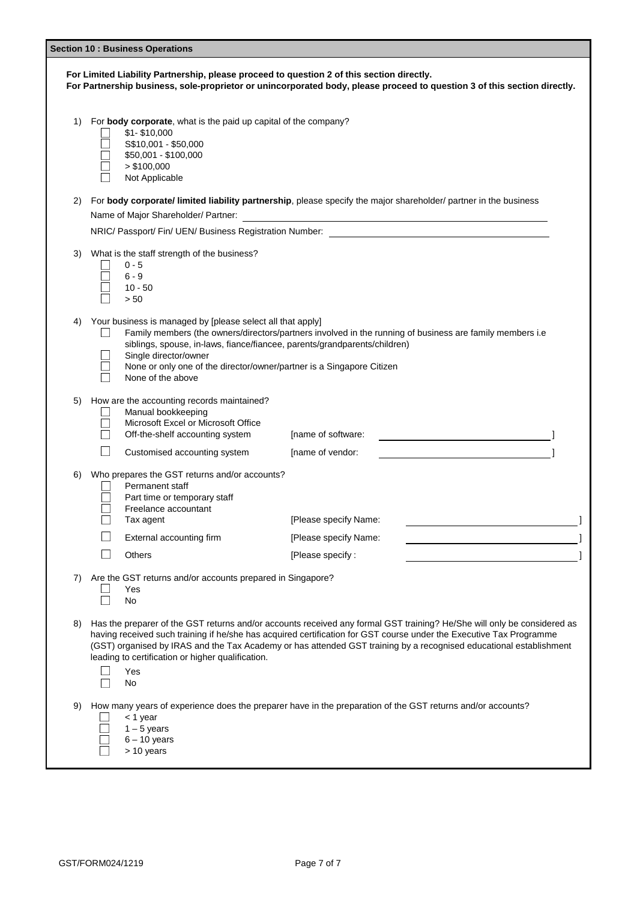| <b>Section 10: Business Operations</b>                                                                                                                                                                                |                                                                                                                                                                                                                                                                                                                                                                                                                                        |  |  |  |
|-----------------------------------------------------------------------------------------------------------------------------------------------------------------------------------------------------------------------|----------------------------------------------------------------------------------------------------------------------------------------------------------------------------------------------------------------------------------------------------------------------------------------------------------------------------------------------------------------------------------------------------------------------------------------|--|--|--|
| For Limited Liability Partnership, please proceed to question 2 of this section directly.<br>For Partnership business, sole-proprietor or unincorporated body, please proceed to question 3 of this section directly. |                                                                                                                                                                                                                                                                                                                                                                                                                                        |  |  |  |
| 1)                                                                                                                                                                                                                    | For body corporate, what is the paid up capital of the company?<br>$$1 - $10,000$<br>S\$10,001 - \$50,000<br>\$50,001 - \$100,000<br>> \$100,000<br>Not Applicable                                                                                                                                                                                                                                                                     |  |  |  |
| 2)                                                                                                                                                                                                                    | For body corporate/ limited liability partnership, please specify the major shareholder/ partner in the business                                                                                                                                                                                                                                                                                                                       |  |  |  |
|                                                                                                                                                                                                                       | Name of Major Shareholder/ Partner:<br><u> 1980 - Jan Samuel Barbara, margaret e</u> n 1980 eta eta eskualdean eta eskualdean eta eskualdean eta eta eta eta                                                                                                                                                                                                                                                                           |  |  |  |
|                                                                                                                                                                                                                       | NRIC/ Passport/ Fin/ UEN/ Business Registration Number:                                                                                                                                                                                                                                                                                                                                                                                |  |  |  |
| 3)                                                                                                                                                                                                                    | What is the staff strength of the business?<br>$0 - 5$<br>$6 - 9$<br>$10 - 50$<br>> 50                                                                                                                                                                                                                                                                                                                                                 |  |  |  |
| 4)                                                                                                                                                                                                                    | Your business is managed by [please select all that apply]<br>Family members (the owners/directors/partners involved in the running of business are family members i.e<br>siblings, spouse, in-laws, fiance/fiancee, parents/grandparents/children)<br>Single director/owner<br>None or only one of the director/owner/partner is a Singapore Citizen<br>None of the above                                                             |  |  |  |
| 5)                                                                                                                                                                                                                    | How are the accounting records maintained?<br>Manual bookkeeping<br>Microsoft Excel or Microsoft Office<br>Off-the-shelf accounting system<br>[name of software:<br>$\mathcal{L}_{\mathcal{A}}$<br>Customised accounting system<br>[name of vendor:                                                                                                                                                                                    |  |  |  |
| 6)                                                                                                                                                                                                                    | Who prepares the GST returns and/or accounts?<br>Permanent staff<br>Part time or temporary staff<br>Freelance accountant<br>[Please specify Name:<br>Tax agent<br>External accounting firm<br>[Please specify Name:<br>Others<br>[Please specify:                                                                                                                                                                                      |  |  |  |
| 7)                                                                                                                                                                                                                    | Are the GST returns and/or accounts prepared in Singapore?<br>Yes<br>No                                                                                                                                                                                                                                                                                                                                                                |  |  |  |
| 8)                                                                                                                                                                                                                    | Has the preparer of the GST returns and/or accounts received any formal GST training? He/She will only be considered as<br>having received such training if he/she has acquired certification for GST course under the Executive Tax Programme<br>(GST) organised by IRAS and the Tax Academy or has attended GST training by a recognised educational establishment<br>leading to certification or higher qualification.<br>Yes<br>No |  |  |  |
| 9)                                                                                                                                                                                                                    | How many years of experience does the preparer have in the preparation of the GST returns and/or accounts?<br>< 1 year<br>$1 - 5$ years<br>$6 - 10$ years<br>> 10 years                                                                                                                                                                                                                                                                |  |  |  |